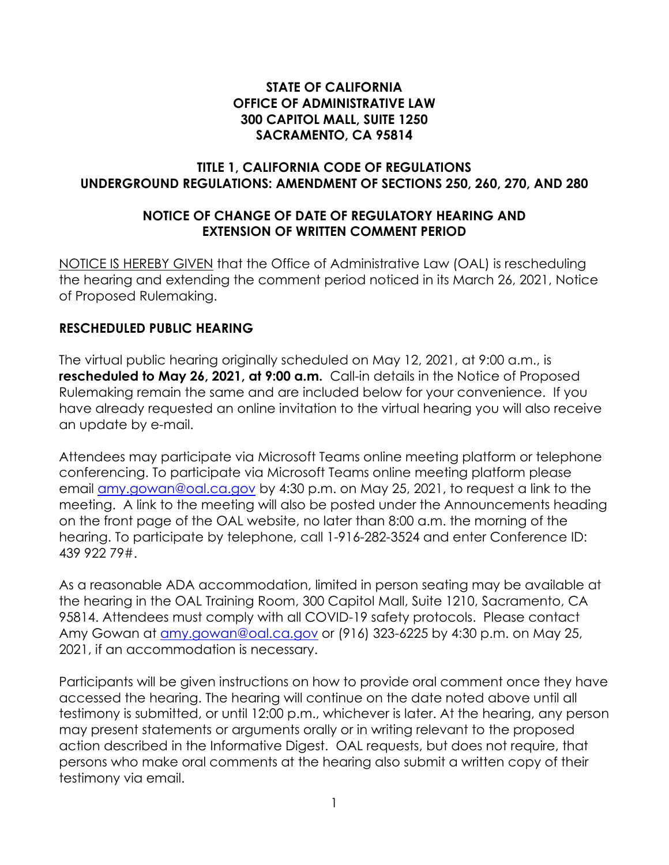#### **STATE OF CALIFORNIA OFFICE OF ADMINISTRATIVE LAW 300 CAPITOL MALL, SUITE 1250 SACRAMENTO, CA 95814**

#### **TITLE 1, CALIFORNIA CODE OF REGULATIONS UNDERGROUND REGULATIONS: AMENDMENT OF SECTIONS 250, 260, 270, AND 280**

### **NOTICE OF CHANGE OF DATE OF REGULATORY HEARING AND EXTENSION OF WRITTEN COMMENT PERIOD**

NOTICE IS HEREBY GIVEN that the Office of Administrative Law (OAL) is rescheduling the hearing and extending the comment period noticed in its March 26, 2021, Notice of Proposed Rulemaking.

#### **RESCHEDULED PUBLIC HEARING**

The virtual public hearing originally scheduled on May 12, 2021, at 9:00 a.m., is **rescheduled to May 26, 2021, at 9:00 a.m.** Call-in details in the Notice of Proposed Rulemaking remain the same and are included below for your convenience. If you have already requested an online invitation to the virtual hearing you will also receive an update by e-mail.

Attendees may participate via Microsoft Teams online meeting platform or telephone conferencing. To participate via Microsoft Teams online meeting platform please email [amy.gowan@oal.ca.gov](mailto:amy.gowan@oal.ca.gov) by 4:30 p.m. on May 25, 2021, to request a link to the meeting. A link to the meeting will also be posted under the Announcements heading on the front page of the OAL website, no later than 8:00 a.m. the morning of the hearing. To participate by telephone, call 1-916-282-3524 and enter Conference ID: 439 922 79#.

As a reasonable ADA accommodation, limited in person seating may be available at the hearing in the OAL Training Room, 300 Capitol Mall, Suite 1210, Sacramento, CA 95814. Attendees must comply with all COVID-19 safety protocols. Please contact Amy Gowan at [amy.gowan@oal.ca.gov](mailto:amy.gowan@oal.ca.gov) or (916) 323-6225 by 4:30 p.m. on May 25, 2021, if an accommodation is necessary.

Participants will be given instructions on how to provide oral comment once they have accessed the hearing. The hearing will continue on the date noted above until all testimony is submitted, or until 12:00 p.m., whichever is later. At the hearing, any person may present statements or arguments orally or in writing relevant to the proposed action described in the Informative Digest. OAL requests, but does not require, that persons who make oral comments at the hearing also submit a written copy of their testimony via email.